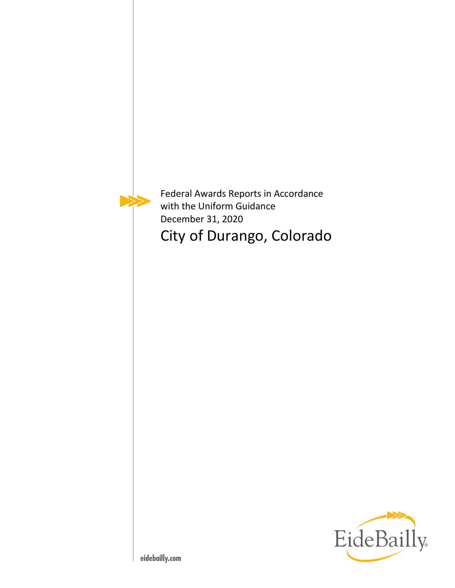

Federal Awards Reports in Accordance with the Uniform Guidance December 31, 2020 City of Durango, Colorado

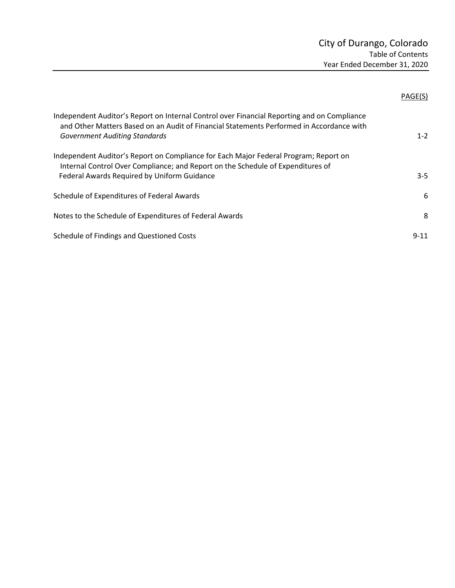|                                                                                                                                                                                                                          | PAGE(S)  |
|--------------------------------------------------------------------------------------------------------------------------------------------------------------------------------------------------------------------------|----------|
| Independent Auditor's Report on Internal Control over Financial Reporting and on Compliance<br>and Other Matters Based on an Audit of Financial Statements Performed in Accordance with<br>Government Auditing Standards | $1 - 2$  |
| Independent Auditor's Report on Compliance for Each Major Federal Program; Report on<br>Internal Control Over Compliance; and Report on the Schedule of Expenditures of<br>Federal Awards Required by Uniform Guidance   | $3 - 5$  |
| Schedule of Expenditures of Federal Awards                                                                                                                                                                               | 6        |
| Notes to the Schedule of Expenditures of Federal Awards                                                                                                                                                                  | 8        |
| Schedule of Findings and Questioned Costs                                                                                                                                                                                | $9 - 11$ |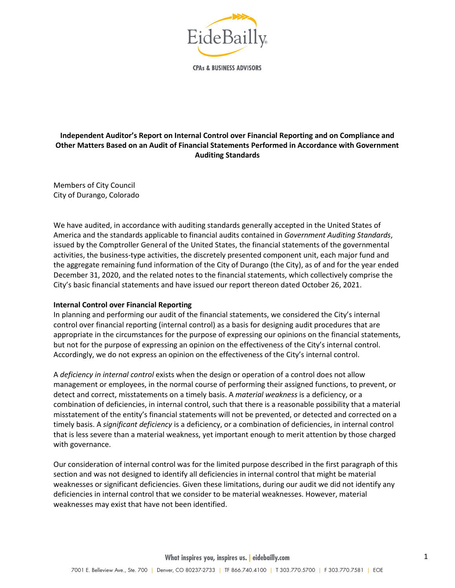

**CPAs & BUSINESS ADVISORS** 

# **Independent Auditor's Report on Internal Control over Financial Reporting and on Compliance and Other Matters Based on an Audit of Financial Statements Performed in Accordance with Government Auditing Standards**

Members of City Council City of Durango, Colorado

We have audited, in accordance with auditing standards generally accepted in the United States of America and the standards applicable to financial audits contained in *Government Auditing Standards*, issued by the Comptroller General of the United States, the financial statements of the governmental activities, the business-type activities, the discretely presented component unit, each major fund and the aggregate remaining fund information of the City of Durango (the City), as of and for the year ended December 31, 2020, and the related notes to the financial statements, which collectively comprise the City's basic financial statements and have issued our report thereon dated October 26, 2021.

#### **Internal Control over Financial Reporting**

In planning and performing our audit of the financial statements, we considered the City's internal control over financial reporting (internal control) as a basis for designing audit procedures that are appropriate in the circumstances for the purpose of expressing our opinions on the financial statements, but not for the purpose of expressing an opinion on the effectiveness of the City's internal control. Accordingly, we do not express an opinion on the effectiveness of the City's internal control.

A *deficiency in internal control* exists when the design or operation of a control does not allow management or employees, in the normal course of performing their assigned functions, to prevent, or detect and correct, misstatements on a timely basis. A *material weakness* is a deficiency, or a combination of deficiencies, in internal control, such that there is a reasonable possibility that a material misstatement of the entity's financial statements will not be prevented, or detected and corrected on a timely basis. A *significant deficiency* is a deficiency, or a combination of deficiencies, in internal control that is less severe than a material weakness, yet important enough to merit attention by those charged with governance.

Our consideration of internal control was for the limited purpose described in the first paragraph of this section and was not designed to identify all deficiencies in internal control that might be material weaknesses or significant deficiencies. Given these limitations, during our audit we did not identify any deficiencies in internal control that we consider to be material weaknesses. However, material weaknesses may exist that have not been identified.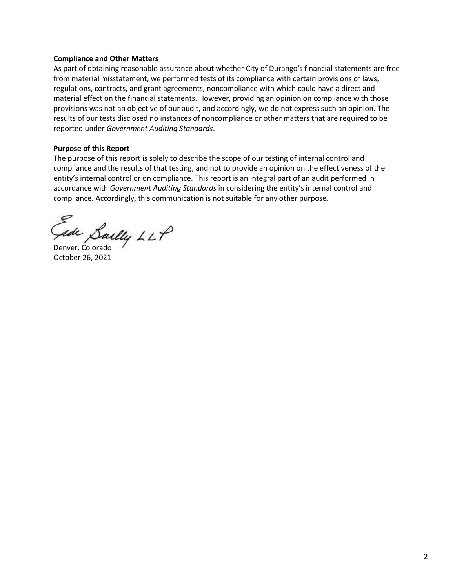#### **Compliance and Other Matters**

As part of obtaining reasonable assurance about whether City of Durango's financial statements are free from material misstatement, we performed tests of its compliance with certain provisions of laws, regulations, contracts, and grant agreements, noncompliance with which could have a direct and material effect on the financial statements. However, providing an opinion on compliance with those provisions was not an objective of our audit, and accordingly, we do not express such an opinion. The results of our tests disclosed no instances of noncompliance or other matters that are required to be reported under *Government Auditing Standards*.

#### **Purpose of this Report**

The purpose of this report is solely to describe the scope of our testing of internal control and compliance and the results of that testing, and not to provide an opinion on the effectiveness of the entity's internal control or on compliance. This report is an integral part of an audit performed in accordance with *Government Auditing Standards* in considering the entity's internal control and compliance. Accordingly, this communication is not suitable for any other purpose.

*Lade Sailly* LLP

October 26, 2021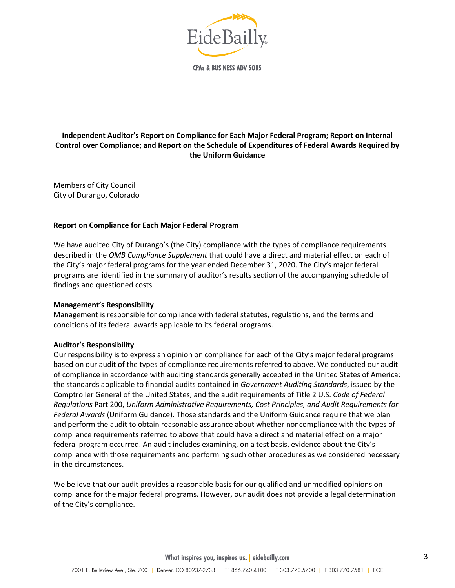

**CPAs & BUSINESS ADVISORS** 

# **Independent Auditor's Report on Compliance for Each Major Federal Program; Report on Internal Control over Compliance; and Report on the Schedule of Expenditures of Federal Awards Required by the Uniform Guidance**

Members of City Council City of Durango, Colorado

#### **Report on Compliance for Each Major Federal Program**

We have audited City of Durango's (the City) compliance with the types of compliance requirements described in the *OMB Compliance Supplement* that could have a direct and material effect on each of the City's major federal programs for the year ended December 31, 2020. The City's major federal programs are identified in the summary of auditor's results section of the accompanying schedule of findings and questioned costs.

#### **Management's Responsibility**

Management is responsible for compliance with federal statutes, regulations, and the terms and conditions of its federal awards applicable to its federal programs.

#### **Auditor's Responsibility**

Our responsibility is to express an opinion on compliance for each of the City's major federal programs based on our audit of the types of compliance requirements referred to above. We conducted our audit of compliance in accordance with auditing standards generally accepted in the United States of America; the standards applicable to financial audits contained in *Government Auditing Standards*, issued by the Comptroller General of the United States; and the audit requirements of Title 2 U.S. *Code of Federal Regulations* Part 200, *Uniform Administrative Requirements, Cost Principles, and Audit Requirements for Federal Awards* (Uniform Guidance). Those standards and the Uniform Guidance require that we plan and perform the audit to obtain reasonable assurance about whether noncompliance with the types of compliance requirements referred to above that could have a direct and material effect on a major federal program occurred. An audit includes examining, on a test basis, evidence about the City's compliance with those requirements and performing such other procedures as we considered necessary in the circumstances.

We believe that our audit provides a reasonable basis for our qualified and unmodified opinions on compliance for the major federal programs. However, our audit does not provide a legal determination of the City's compliance.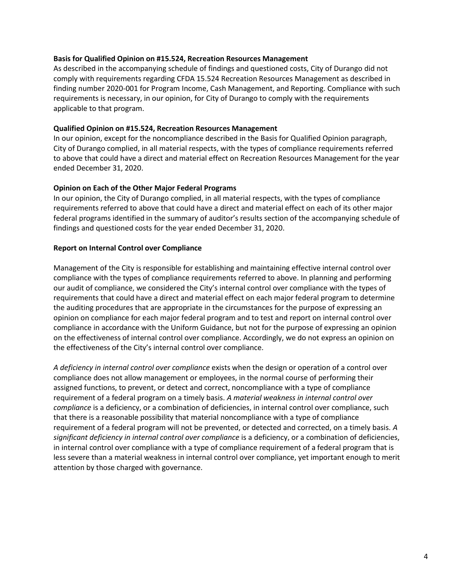#### **Basis for Qualified Opinion on #15.524, Recreation Resources Management**

As described in the accompanying schedule of findings and questioned costs, City of Durango did not comply with requirements regarding CFDA 15.524 Recreation Resources Management as described in finding number 2020-001 for Program Income, Cash Management, and Reporting. Compliance with such requirements is necessary, in our opinion, for City of Durango to comply with the requirements applicable to that program.

#### **Qualified Opinion on #15.524, Recreation Resources Management**

In our opinion, except for the noncompliance described in the Basis for Qualified Opinion paragraph, City of Durango complied, in all material respects, with the types of compliance requirements referred to above that could have a direct and material effect on Recreation Resources Management for the year ended December 31, 2020.

#### **Opinion on Each of the Other Major Federal Programs**

In our opinion, the City of Durango complied, in all material respects, with the types of compliance requirements referred to above that could have a direct and material effect on each of its other major federal programs identified in the summary of auditor's results section of the accompanying schedule of findings and questioned costs for the year ended December 31, 2020.

#### **Report on Internal Control over Compliance**

Management of the City is responsible for establishing and maintaining effective internal control over compliance with the types of compliance requirements referred to above. In planning and performing our audit of compliance, we considered the City's internal control over compliance with the types of requirements that could have a direct and material effect on each major federal program to determine the auditing procedures that are appropriate in the circumstances for the purpose of expressing an opinion on compliance for each major federal program and to test and report on internal control over compliance in accordance with the Uniform Guidance, but not for the purpose of expressing an opinion on the effectiveness of internal control over compliance. Accordingly, we do not express an opinion on the effectiveness of the City's internal control over compliance.

*A deficiency in internal control over compliance* exists when the design or operation of a control over compliance does not allow management or employees, in the normal course of performing their assigned functions, to prevent, or detect and correct, noncompliance with a type of compliance requirement of a federal program on a timely basis. *A material weakness in internal control over compliance* is a deficiency, or a combination of deficiencies, in internal control over compliance, such that there is a reasonable possibility that material noncompliance with a type of compliance requirement of a federal program will not be prevented, or detected and corrected, on a timely basis. *A significant deficiency in internal control over compliance* is a deficiency, or a combination of deficiencies, in internal control over compliance with a type of compliance requirement of a federal program that is less severe than a material weakness in internal control over compliance, yet important enough to merit attention by those charged with governance.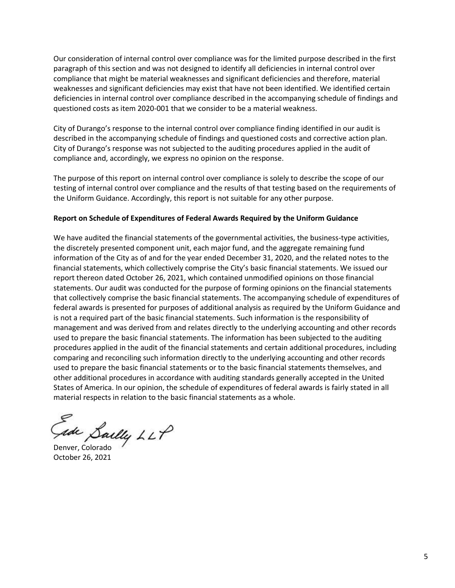Our consideration of internal control over compliance was for the limited purpose described in the first paragraph of this section and was not designed to identify all deficiencies in internal control over compliance that might be material weaknesses and significant deficiencies and therefore, material weaknesses and significant deficiencies may exist that have not been identified. We identified certain deficiencies in internal control over compliance described in the accompanying schedule of findings and questioned costs as item 2020-001 that we consider to be a material weakness.

City of Durango's response to the internal control over compliance finding identified in our audit is described in the accompanying schedule of findings and questioned costs and corrective action plan. City of Durango's response was not subjected to the auditing procedures applied in the audit of compliance and, accordingly, we express no opinion on the response.

The purpose of this report on internal control over compliance is solely to describe the scope of our testing of internal control over compliance and the results of that testing based on the requirements of the Uniform Guidance. Accordingly, this report is not suitable for any other purpose.

#### **Report on Schedule of Expenditures of Federal Awards Required by the Uniform Guidance**

We have audited the financial statements of the governmental activities, the business-type activities, the discretely presented component unit, each major fund, and the aggregate remaining fund information of the City as of and for the year ended December 31, 2020, and the related notes to the financial statements, which collectively comprise the City's basic financial statements. We issued our report thereon dated October 26, 2021, which contained unmodified opinions on those financial statements. Our audit was conducted for the purpose of forming opinions on the financial statements that collectively comprise the basic financial statements. The accompanying schedule of expenditures of federal awards is presented for purposes of additional analysis as required by the Uniform Guidance and is not a required part of the basic financial statements. Such information is the responsibility of management and was derived from and relates directly to the underlying accounting and other records used to prepare the basic financial statements. The information has been subjected to the auditing procedures applied in the audit of the financial statements and certain additional procedures, including comparing and reconciling such information directly to the underlying accounting and other records used to prepare the basic financial statements or to the basic financial statements themselves, and other additional procedures in accordance with auditing standards generally accepted in the United States of America. In our opinion, the schedule of expenditures of federal awards is fairly stated in all material respects in relation to the basic financial statements as a whole.

*Lade Sailly LLP* 

October 26, 2021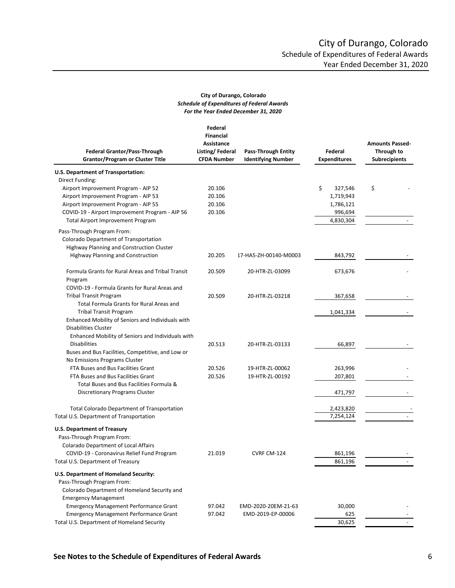#### **City of Durango, Colorado** *Schedule of Expenditures of Federal Awards For the Year Ended December 31, 2020*

| <b>Federal Grantor/Pass-Through</b><br><b>Grantor/Program or Cluster Title</b> | Federal<br>Financial<br>Assistance<br>Listing/Federal<br><b>CFDA Number</b> | <b>Pass-Through Entity</b><br><b>Identifying Number</b> | Federal<br><b>Expenditures</b> | <b>Amounts Passed-</b><br>Through to<br><b>Subrecipients</b> |
|--------------------------------------------------------------------------------|-----------------------------------------------------------------------------|---------------------------------------------------------|--------------------------------|--------------------------------------------------------------|
| U.S. Department of Transportation:                                             |                                                                             |                                                         |                                |                                                              |
| Direct Funding:                                                                |                                                                             |                                                         |                                |                                                              |
| Airport Improvement Program - AIP 52                                           | 20.106                                                                      |                                                         | \$<br>327,546                  | \$                                                           |
| Airport Improvement Program - AIP 53                                           | 20.106                                                                      |                                                         | 1,719,943                      |                                                              |
| Airport Improvement Program - AIP 55                                           | 20.106                                                                      |                                                         | 1,786,121                      |                                                              |
| COVID-19 - Airport Improvement Program - AIP 56                                | 20.106                                                                      |                                                         | 996,694                        |                                                              |
| Total Airport Improvement Program                                              |                                                                             |                                                         | 4,830,304                      |                                                              |
| Pass-Through Program From:                                                     |                                                                             |                                                         |                                |                                                              |
| Colorado Department of Transportation                                          |                                                                             |                                                         |                                |                                                              |
| Highway Planning and Construction Cluster                                      |                                                                             |                                                         |                                |                                                              |
| Highway Planning and Construction                                              | 20.205                                                                      | 17-HA5-ZH-00140-M0003                                   | 843,792                        |                                                              |
| Formula Grants for Rural Areas and Tribal Transit                              | 20.509                                                                      | 20-HTR-ZL-03099                                         | 673,676                        |                                                              |
| Program                                                                        |                                                                             |                                                         |                                |                                                              |
| COVID-19 - Formula Grants for Rural Areas and                                  |                                                                             |                                                         |                                |                                                              |
| <b>Tribal Transit Program</b>                                                  | 20.509                                                                      | 20-HTR-ZL-03218                                         | 367,658                        |                                                              |
| Total Formula Grants for Rural Areas and                                       |                                                                             |                                                         |                                |                                                              |
| <b>Tribal Transit Program</b>                                                  |                                                                             |                                                         | 1,041,334                      |                                                              |
| Enhanced Mobility of Seniors and Individuals with                              |                                                                             |                                                         |                                |                                                              |
| <b>Disabilities Cluster</b>                                                    |                                                                             |                                                         |                                |                                                              |
| Enhanced Mobility of Seniors and Individuals with                              |                                                                             |                                                         |                                |                                                              |
| <b>Disabilities</b>                                                            | 20.513                                                                      | 20-HTR-ZL-03133                                         | 66,897                         |                                                              |
| Buses and Bus Facilities, Competitive, and Low or                              |                                                                             |                                                         |                                |                                                              |
| No Emissions Programs Cluster                                                  |                                                                             |                                                         |                                |                                                              |
| FTA Buses and Bus Facilities Grant                                             | 20.526                                                                      | 19-HTR-ZL-00062                                         | 263,996                        |                                                              |
| FTA Buses and Bus Facilities Grant                                             | 20.526                                                                      | 19-HTR-ZL-00192                                         | 207,801                        |                                                              |
| Total Buses and Bus Facilities Formula &                                       |                                                                             |                                                         |                                |                                                              |
| Discretionary Programs Cluster                                                 |                                                                             |                                                         | 471,797                        |                                                              |
|                                                                                |                                                                             |                                                         |                                |                                                              |
| <b>Total Colorado Department of Transportation</b>                             |                                                                             |                                                         | 2,423,820                      |                                                              |
| Total U.S. Department of Transportation                                        |                                                                             |                                                         | 7,254,124                      |                                                              |
| U.S. Department of Treasury                                                    |                                                                             |                                                         |                                |                                                              |
| Pass-Through Program From:                                                     |                                                                             |                                                         |                                |                                                              |
| <b>Colarado Department of Local Affairs</b>                                    |                                                                             |                                                         |                                |                                                              |
| COVID-19 - Coronavirus Relief Fund Program                                     | 21.019                                                                      | CVRF CM-124                                             | 861,196                        |                                                              |
| Total U.S. Department of Treasury                                              |                                                                             |                                                         | 861,196                        |                                                              |
| U.S. Department of Homeland Security:                                          |                                                                             |                                                         |                                |                                                              |
| Pass-Through Program From:                                                     |                                                                             |                                                         |                                |                                                              |
| Colorado Department of Homeland Security and                                   |                                                                             |                                                         |                                |                                                              |
| <b>Emergency Management</b>                                                    |                                                                             |                                                         |                                |                                                              |
| <b>Emergency Management Performance Grant</b>                                  | 97.042                                                                      | EMD-2020-20EM-21-63                                     | 30,000                         |                                                              |
| <b>Emergency Management Performance Grant</b>                                  | 97.042                                                                      | EMD-2019-EP-00006                                       | 625                            |                                                              |
| Total U.S. Department of Homeland Security                                     |                                                                             |                                                         | 30,625                         |                                                              |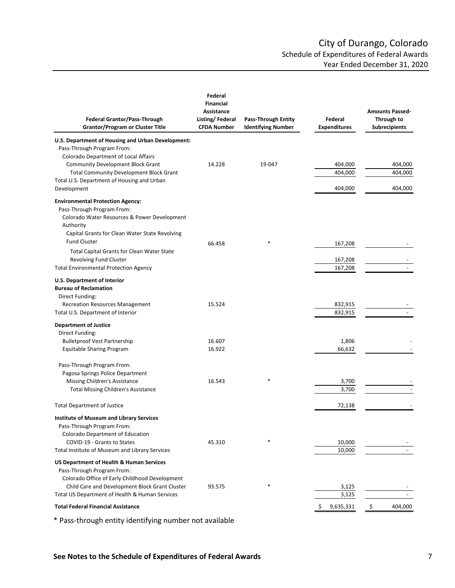# City of Durango, Colorado Schedule of Expenditures of Federal Awards Year Ended December 31, 2020

| Federal Grantor/Pass-Through<br><b>Grantor/Program or Cluster Title</b>                          | Federal<br><b>Financial</b><br>Assistance<br>Listing/Federal<br><b>CFDA Number</b> | <b>Pass-Through Entity</b><br><b>Identifying Number</b> | Federal<br><b>Expenditures</b> | <b>Amounts Passed-</b><br>Through to<br><b>Subrecipients</b> |
|--------------------------------------------------------------------------------------------------|------------------------------------------------------------------------------------|---------------------------------------------------------|--------------------------------|--------------------------------------------------------------|
| U.S. Department of Housing and Urban Development:                                                |                                                                                    |                                                         |                                |                                                              |
| Pass-Through Program From:                                                                       |                                                                                    |                                                         |                                |                                                              |
| Colorado Department of Local Affairs<br><b>Community Development Block Grant</b>                 | 14.228                                                                             | 19-047                                                  | 404,000                        | 404,000                                                      |
| <b>Total Community Development Block Grant</b>                                                   |                                                                                    |                                                         | 404,000                        | 404,000                                                      |
| Total U.S. Department of Housing and Urban                                                       |                                                                                    |                                                         |                                |                                                              |
| Development                                                                                      |                                                                                    |                                                         | 404,000                        | 404,000                                                      |
| <b>Environmental Protection Agency:</b>                                                          |                                                                                    |                                                         |                                |                                                              |
| Pass-Through Program From:                                                                       |                                                                                    |                                                         |                                |                                                              |
| Colorado Water Resources & Power Development<br>Authority                                        |                                                                                    |                                                         |                                |                                                              |
| Capital Grants for Clean Water State Revolving                                                   |                                                                                    |                                                         |                                |                                                              |
| <b>Fund Cluster</b>                                                                              | 66.458                                                                             |                                                         | 167,208                        |                                                              |
| Total Capital Grants for Clean Water State                                                       |                                                                                    |                                                         |                                |                                                              |
| Revolving Fund Cluster                                                                           |                                                                                    |                                                         | 167,208                        |                                                              |
| <b>Total Environmental Protection Agency</b>                                                     |                                                                                    |                                                         | 167,208                        |                                                              |
| U.S. Department of Interior                                                                      |                                                                                    |                                                         |                                |                                                              |
| <b>Bureau of Reclamation</b>                                                                     |                                                                                    |                                                         |                                |                                                              |
| Direct Funding:                                                                                  |                                                                                    |                                                         |                                |                                                              |
| <b>Recreation Resources Management</b><br>Total U.S. Department of Interior                      | 15.524                                                                             |                                                         | 832,915<br>832,915             |                                                              |
|                                                                                                  |                                                                                    |                                                         |                                |                                                              |
| <b>Department of Justice</b>                                                                     |                                                                                    |                                                         |                                |                                                              |
| Direct Funding:<br><b>Bulletproof Vest Partnership</b>                                           | 16.607                                                                             |                                                         | 1,806                          |                                                              |
| <b>Equitable Sharing Program</b>                                                                 | 16.922                                                                             |                                                         | 66,632                         |                                                              |
|                                                                                                  |                                                                                    |                                                         |                                |                                                              |
| Pass-Through Program From:                                                                       |                                                                                    |                                                         |                                |                                                              |
| Pagosa Springs Police Department                                                                 |                                                                                    |                                                         |                                |                                                              |
| Missing Children's Assistance                                                                    | 16.543                                                                             |                                                         | 3,700                          |                                                              |
| <b>Total Missing Children's Assistance</b>                                                       |                                                                                    |                                                         | 3,700                          |                                                              |
| <b>Total Department of Justice</b>                                                               |                                                                                    |                                                         | 72,138                         |                                                              |
| Institute of Museum and Library Services                                                         |                                                                                    |                                                         |                                |                                                              |
| Pass-Through Program From:                                                                       |                                                                                    |                                                         |                                |                                                              |
| Colorado Department of Education                                                                 |                                                                                    |                                                         |                                |                                                              |
| COVID-19 - Grants to States                                                                      | 45.310                                                                             |                                                         | 10,000                         |                                                              |
| Total Institute of Museum and Library Services                                                   |                                                                                    |                                                         | 10,000                         |                                                              |
| US Department of Health & Human Services                                                         |                                                                                    |                                                         |                                |                                                              |
| Pass-Through Program From:                                                                       |                                                                                    |                                                         |                                |                                                              |
| Colorado Office of Early Childhood Development                                                   |                                                                                    |                                                         |                                |                                                              |
| Child Care and Development Block Grant Cluster<br>Total US Department of Health & Human Services | 93.575                                                                             |                                                         | 3,125<br>3,125                 |                                                              |
|                                                                                                  |                                                                                    |                                                         |                                |                                                              |
| <b>Total Federal Financial Assistance</b>                                                        |                                                                                    |                                                         | 9,635,331<br>s                 | \$<br>404,000                                                |

\* Pass-through entity identifying number not available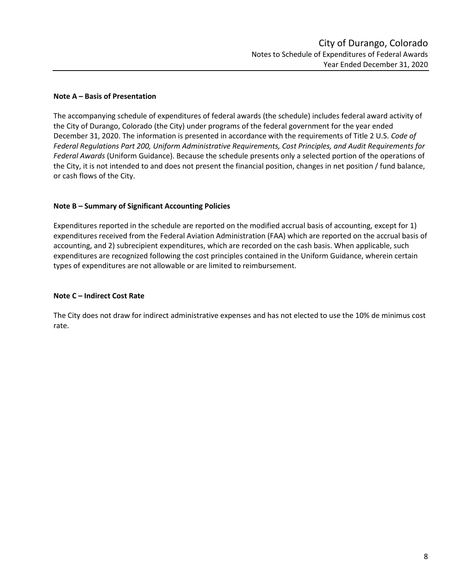## **Note A – Basis of Presentation**

The accompanying schedule of expenditures of federal awards (the schedule) includes federal award activity of the City of Durango, Colorado (the City) under programs of the federal government for the year ended December 31, 2020. The information is presented in accordance with the requirements of Title 2 U.S. *Code of Federal Regulations Part 200, Uniform Administrative Requirements, Cost Principles, and Audit Requirements for Federal Awards* (Uniform Guidance). Because the schedule presents only a selected portion of the operations of the City, it is not intended to and does not present the financial position, changes in net position / fund balance, or cash flows of the City.

# **Note B – Summary of Significant Accounting Policies**

Expenditures reported in the schedule are reported on the modified accrual basis of accounting, except for 1) expenditures received from the Federal Aviation Administration (FAA) which are reported on the accrual basis of accounting, and 2) subrecipient expenditures, which are recorded on the cash basis. When applicable, such expenditures are recognized following the cost principles contained in the Uniform Guidance, wherein certain types of expenditures are not allowable or are limited to reimbursement.

### **Note C – Indirect Cost Rate**

The City does not draw for indirect administrative expenses and has not elected to use the 10% de minimus cost rate.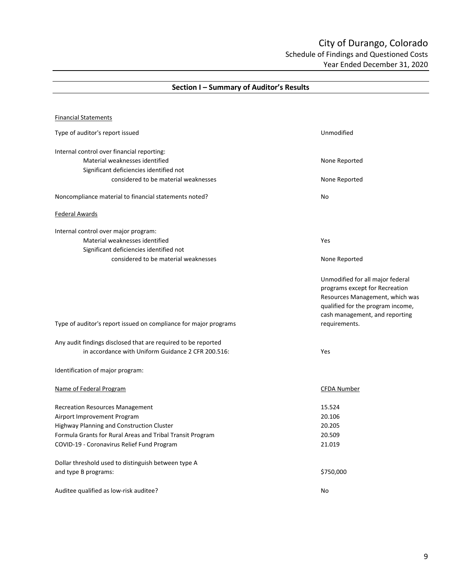# City of Durango, Colorado

Schedule of Findings and Questioned Costs

Year Ended December 31, 2020

# **Section I – Summary of Auditor's Results**

| <b>Financial Statements</b>                                      |                                                                                                                                                                              |
|------------------------------------------------------------------|------------------------------------------------------------------------------------------------------------------------------------------------------------------------------|
| Type of auditor's report issued                                  | Unmodified                                                                                                                                                                   |
| Internal control over financial reporting:                       |                                                                                                                                                                              |
| Material weaknesses identified                                   | None Reported                                                                                                                                                                |
| Significant deficiencies identified not                          |                                                                                                                                                                              |
| considered to be material weaknesses                             | None Reported                                                                                                                                                                |
| Noncompliance material to financial statements noted?            | No                                                                                                                                                                           |
| <b>Federal Awards</b>                                            |                                                                                                                                                                              |
| Internal control over major program:                             |                                                                                                                                                                              |
| Material weaknesses identified                                   | Yes                                                                                                                                                                          |
| Significant deficiencies identified not                          |                                                                                                                                                                              |
| considered to be material weaknesses                             | None Reported                                                                                                                                                                |
|                                                                  | Unmodified for all major federal<br>programs except for Recreation<br>Resources Management, which was<br>qualified for the program income,<br>cash management, and reporting |
| Type of auditor's report issued on compliance for major programs | requirements.                                                                                                                                                                |
| Any audit findings disclosed that are required to be reported    |                                                                                                                                                                              |
| in accordance with Uniform Guidance 2 CFR 200.516:               | Yes                                                                                                                                                                          |
| Identification of major program:                                 |                                                                                                                                                                              |
| Name of Federal Program                                          | CFDA Number                                                                                                                                                                  |
| <b>Recreation Resources Management</b>                           | 15.524                                                                                                                                                                       |
| Airport Improvement Program                                      | 20.106                                                                                                                                                                       |
| Highway Planning and Construction Cluster                        | 20.205                                                                                                                                                                       |
| Formula Grants for Rural Areas and Tribal Transit Program        | 20.509                                                                                                                                                                       |
| COVID-19 - Coronavirus Relief Fund Program                       | 21.019                                                                                                                                                                       |
| Dollar threshold used to distinguish between type A              |                                                                                                                                                                              |
| and type B programs:                                             | \$750,000                                                                                                                                                                    |
| Auditee qualified as low-risk auditee?                           | No                                                                                                                                                                           |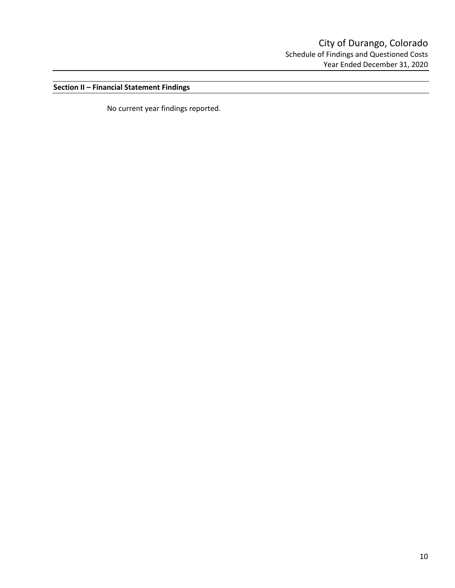**Section II – Financial Statement Findings**

No current year findings reported.